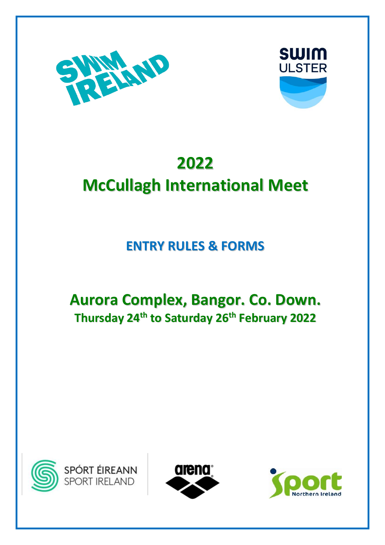



# **2022**

# **McCullagh International Meet**

## **ENTRY RULES & FORMS**

## **Aurora Complex, Bangor. Co. Down. Thursday 24 th to Saturday 26 th February 2022**





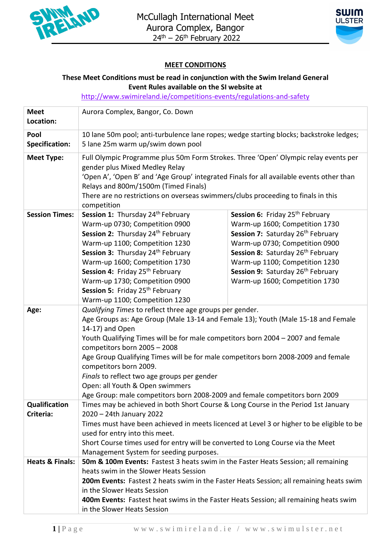



### **MEET CONDITIONS**

### **These Meet Conditions must be read in conjunction with the Swim Ireland General Event Rules available on the SI website at**

<http://www.swimireland.ie/competitions-events/regulations-and-safety>

| <b>Meet</b><br>Location:      | Aurora Complex, Bangor, Co. Down                                                                                                                                                                                                                                                                                                                                                                                                                                                                                                                                    |                                                                                                                                                                                                                                                                                                                                        |  |  |
|-------------------------------|---------------------------------------------------------------------------------------------------------------------------------------------------------------------------------------------------------------------------------------------------------------------------------------------------------------------------------------------------------------------------------------------------------------------------------------------------------------------------------------------------------------------------------------------------------------------|----------------------------------------------------------------------------------------------------------------------------------------------------------------------------------------------------------------------------------------------------------------------------------------------------------------------------------------|--|--|
| Pool<br><b>Specification:</b> | 10 lane 50m pool; anti-turbulence lane ropes; wedge starting blocks; backstroke ledges;<br>5 lane 25m warm up/swim down pool                                                                                                                                                                                                                                                                                                                                                                                                                                        |                                                                                                                                                                                                                                                                                                                                        |  |  |
| <b>Meet Type:</b>             | Full Olympic Programme plus 50m Form Strokes. Three 'Open' Olympic relay events per<br>gender plus Mixed Medley Relay<br>'Open A', 'Open B' and 'Age Group' integrated Finals for all available events other than<br>Relays and 800m/1500m (Timed Finals)<br>There are no restrictions on overseas swimmers/clubs proceeding to finals in this<br>competition                                                                                                                                                                                                       |                                                                                                                                                                                                                                                                                                                                        |  |  |
| <b>Session Times:</b>         | Session 1: Thursday 24 <sup>th</sup> February<br>Warm-up 0730; Competition 0900<br>Session 2: Thursday 24th February<br>Warm-up 1100; Competition 1230<br>Session 3: Thursday 24 <sup>th</sup> February<br>Warm-up 1600; Competition 1730<br>Session 4: Friday 25 <sup>th</sup> February<br>Warm-up 1730; Competition 0900<br>Session 5: Friday 25 <sup>th</sup> February<br>Warm-up 1100; Competition 1230                                                                                                                                                         | Session 6: Friday 25 <sup>th</sup> February<br>Warm-up 1600; Competition 1730<br>Session 7: Saturday 26 <sup>th</sup> February<br>Warm-up 0730; Competition 0900<br>Session 8: Saturday 26 <sup>th</sup> February<br>Warm-up 1100; Competition 1230<br>Session 9: Saturday 26 <sup>th</sup> February<br>Warm-up 1600; Competition 1730 |  |  |
| Age:                          | Qualifying Times to reflect three age groups per gender.<br>Age Groups as: Age Group (Male 13-14 and Female 13); Youth (Male 15-18 and Female<br>14-17) and Open<br>Youth Qualifying Times will be for male competitors born 2004 - 2007 and female<br>competitors born 2005 - 2008<br>Age Group Qualifying Times will be for male competitors born 2008-2009 and female<br>competitors born 2009.<br>Finals to reflect two age groups per gender<br>Open: all Youth & Open swimmers<br>Age Group: male competitors born 2008-2009 and female competitors born 2009 |                                                                                                                                                                                                                                                                                                                                        |  |  |
| Qualification<br>Criteria:    | Times may be achieved in both Short Course & Long Course in the Period 1st January<br>2020 - 24th January 2022<br>Times must have been achieved in meets licenced at Level 3 or higher to be eligible to be<br>used for entry into this meet.<br>Short Course times used for entry will be converted to Long Course via the Meet<br>Management System for seeding purposes.                                                                                                                                                                                         |                                                                                                                                                                                                                                                                                                                                        |  |  |
| <b>Heats &amp; Finals:</b>    | 50m & 100m Events: Fastest 3 heats swim in the Faster Heats Session; all remaining<br>heats swim in the Slower Heats Session<br>200m Events: Fastest 2 heats swim in the Faster Heats Session; all remaining heats swim<br>in the Slower Heats Session<br>400m Events: Fastest heat swims in the Faster Heats Session; all remaining heats swim<br>in the Slower Heats Session                                                                                                                                                                                      |                                                                                                                                                                                                                                                                                                                                        |  |  |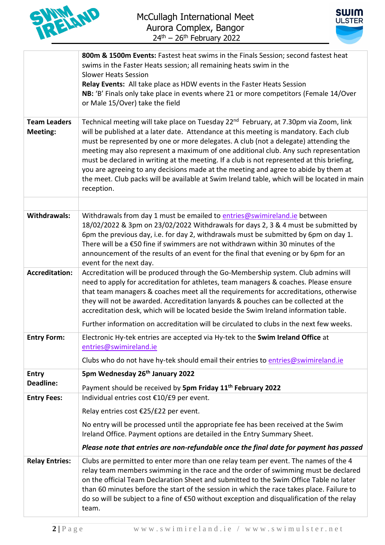



|                                        | 800m & 1500m Events: Fastest heat swims in the Finals Session; second fastest heat<br>swims in the Faster Heats session; all remaining heats swim in the<br><b>Slower Heats Session</b><br>Relay Events: All take place as HDW events in the Faster Heats Session<br>NB: 'B' Finals only take place in events where 21 or more competitors (Female 14/Over<br>or Male 15/Over) take the field                                                                                                                                                                                                                                                                              |
|----------------------------------------|----------------------------------------------------------------------------------------------------------------------------------------------------------------------------------------------------------------------------------------------------------------------------------------------------------------------------------------------------------------------------------------------------------------------------------------------------------------------------------------------------------------------------------------------------------------------------------------------------------------------------------------------------------------------------|
| <b>Team Leaders</b><br><b>Meeting:</b> | Technical meeting will take place on Tuesday 22 <sup>nd</sup> February, at 7.30pm via Zoom, link<br>will be published at a later date. Attendance at this meeting is mandatory. Each club<br>must be represented by one or more delegates. A club (not a delegate) attending the<br>meeting may also represent a maximum of one additional club. Any such representation<br>must be declared in writing at the meeting. If a club is not represented at this briefing,<br>you are agreeing to any decisions made at the meeting and agree to abide by them at<br>the meet. Club packs will be available at Swim Ireland table, which will be located in main<br>reception. |
|                                        |                                                                                                                                                                                                                                                                                                                                                                                                                                                                                                                                                                                                                                                                            |
| <b>Withdrawals:</b>                    | Withdrawals from day 1 must be emailed to entries@swimireland.ie between<br>18/02/2022 & 3pm on 23/02/2022 Withdrawals for days 2, 3 & 4 must be submitted by<br>6pm the previous day, i.e. for day 2, withdrawals must be submitted by 6pm on day 1.<br>There will be a €50 fine if swimmers are not withdrawn within 30 minutes of the<br>announcement of the results of an event for the final that evening or by 6pm for an<br>event for the next day.                                                                                                                                                                                                                 |
| <b>Accreditation:</b>                  | Accreditation will be produced through the Go-Membership system. Club admins will<br>need to apply for accreditation for athletes, team managers & coaches. Please ensure<br>that team managers & coaches meet all the requirements for accreditations, otherwise<br>they will not be awarded. Accreditation lanyards & pouches can be collected at the<br>accreditation desk, which will be located beside the Swim Ireland information table.                                                                                                                                                                                                                            |
|                                        | Further information on accreditation will be circulated to clubs in the next few weeks.                                                                                                                                                                                                                                                                                                                                                                                                                                                                                                                                                                                    |
| <b>Entry Form:</b>                     | Electronic Hy-tek entries are accepted via Hy-tek to the Swim Ireland Office at<br>entries@swimireland.ie<br>Clubs who do not have hy-tek should email their entries to entries@swimireland.ie                                                                                                                                                                                                                                                                                                                                                                                                                                                                             |
| <b>Entry</b>                           | 5pm Wednesday 26 <sup>th</sup> January 2022                                                                                                                                                                                                                                                                                                                                                                                                                                                                                                                                                                                                                                |
| <b>Deadline:</b>                       |                                                                                                                                                                                                                                                                                                                                                                                                                                                                                                                                                                                                                                                                            |
| <b>Entry Fees:</b>                     | Payment should be received by 5pm Friday 11 <sup>th</sup> February 2022<br>Individual entries cost €10/£9 per event.                                                                                                                                                                                                                                                                                                                                                                                                                                                                                                                                                       |
|                                        | Relay entries cost €25/£22 per event.                                                                                                                                                                                                                                                                                                                                                                                                                                                                                                                                                                                                                                      |
|                                        | No entry will be processed until the appropriate fee has been received at the Swim<br>Ireland Office. Payment options are detailed in the Entry Summary Sheet.                                                                                                                                                                                                                                                                                                                                                                                                                                                                                                             |
|                                        | Please note that entries are non-refundable once the final date for payment has passed                                                                                                                                                                                                                                                                                                                                                                                                                                                                                                                                                                                     |
| <b>Relay Entries:</b>                  | Clubs are permitted to enter more than one relay team per event. The names of the 4<br>relay team members swimming in the race and the order of swimming must be declared<br>on the official Team Declaration Sheet and submitted to the Swim Office Table no later<br>than 60 minutes before the start of the session in which the race takes place. Failure to<br>do so will be subject to a fine of €50 without exception and disqualification of the relay<br>team.                                                                                                                                                                                                    |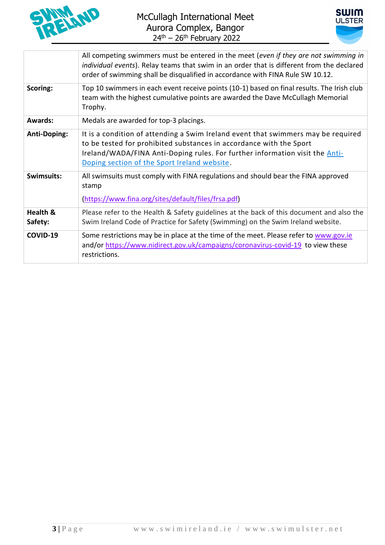



|                     | All competing swimmers must be entered in the meet (even if they are not swimming in<br>individual events). Relay teams that swim in an order that is different from the declared<br>order of swimming shall be disqualified in accordance with FINA Rule SW 10.12.                      |
|---------------------|------------------------------------------------------------------------------------------------------------------------------------------------------------------------------------------------------------------------------------------------------------------------------------------|
| Scoring:            | Top 10 swimmers in each event receive points (10-1) based on final results. The Irish club<br>team with the highest cumulative points are awarded the Dave McCullagh Memorial<br>Trophy.                                                                                                 |
| <b>Awards:</b>      | Medals are awarded for top-3 placings.                                                                                                                                                                                                                                                   |
| <b>Anti-Doping:</b> | It is a condition of attending a Swim Ireland event that swimmers may be required<br>to be tested for prohibited substances in accordance with the Sport<br>Ireland/WADA/FINA Anti-Doping rules. For further information visit the Anti-<br>Doping section of the Sport Ireland website. |
| Swimsuits:          | All swimsuits must comply with FINA regulations and should bear the FINA approved<br>stamp<br>(https://www.fina.org/sites/default/files/frsa.pdf)                                                                                                                                        |
| Health &<br>Safety: | Please refer to the Health & Safety guidelines at the back of this document and also the<br>Swim Ireland Code of Practice for Safety (Swimming) on the Swim Ireland website.                                                                                                             |
| COVID-19            | Some restrictions may be in place at the time of the meet. Please refer to www.gov.ie<br>and/or https://www.nidirect.gov.uk/campaigns/coronavirus-covid-19 to view these<br>restrictions.                                                                                                |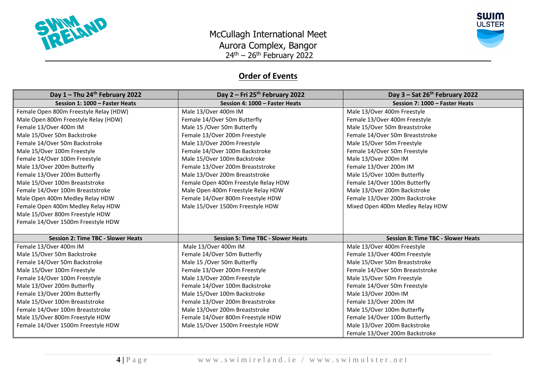



## **Order of Events**

| Day 1 - Thu 24th February 2022            | Day $2$ – Fri 25 <sup>th</sup> February 2022 | Day $3 - Sat$ 26 <sup>th</sup> February 2022 |  |
|-------------------------------------------|----------------------------------------------|----------------------------------------------|--|
| Session 1: 1000 - Faster Heats            | Session 4: 1000 - Faster Heats               | Session 7: 1000 - Faster Heats               |  |
| Female Open 800m Freestyle Relay (HDW)    | Male 13/Over 400m IM                         | Male 13/Over 400m Freestyle                  |  |
| Male Open 800m Freestyle Relay (HDW)      | Female 14/Over 50m Butterfly                 | Female 13/Over 400m Freestyle                |  |
| Female 13/Over 400m IM                    | Male 15 / Over 50m Butterfly                 | Male 15/Over 50m Breaststroke                |  |
| Male 15/Over 50m Backstroke               | Female 13/Over 200m Freestyle                | Female 14/Over 50m Breaststroke              |  |
| Female 14/Over 50m Backstroke             | Male 13/Over 200m Freestyle                  | Male 15/Over 50m Freestyle                   |  |
| Male 15/Over 100m Freestyle               | Female 14/Over 100m Backstroke               | Female 14/Over 50m Freestyle                 |  |
| Female 14/Over 100m Freestyle             | Male 15/Over 100m Backstroke                 | Male 13/Over 200m IM                         |  |
| Male 13/Over 200m Butterfly               | Female 13/Over 200m Breaststroke             | Female 13/Over 200m IM                       |  |
| Female 13/Over 200m Butterfly             | Male 13/Over 200m Breaststroke               | Male 15/Over 100m Butterfly                  |  |
| Male 15/Over 100m Breaststroke            | Female Open 400m Freestyle Relay HDW         | Female 14/Over 100m Butterfly                |  |
| Female 14/Over 100m Breaststroke          | Male Open 400m Freestyle Relay HDW           | Male 13/Over 200m Backstroke                 |  |
| Male Open 400m Medley Relay HDW           | Female 14/Over 800m Freestyle HDW            | Female 13/Over 200m Backstroke               |  |
| Female Open 400m Medley Relay HDW         | Male 15/Over 1500m Freestyle HDW             | Mixed Open 400m Medley Relay HDW             |  |
| Male 15/Over 800m Freestyle HDW           |                                              |                                              |  |
| Female 14/Over 1500m Freestyle HDW        |                                              |                                              |  |
|                                           |                                              |                                              |  |
| <b>Session 2: Time TBC - Slower Heats</b> | <b>Session 5: Time TBC - Slower Heats</b>    | <b>Session 8: Time TBC - Slower Heats</b>    |  |
| Female 13/Over 400m IM                    | Male 13/Over 400m IM                         | Male 13/Over 400m Freestyle                  |  |
| Male 15/Over 50m Backstroke               | Female 14/Over 50m Butterfly                 | Female 13/Over 400m Freestyle                |  |
| Female 14/Over 50m Backstroke             | Male 15 / Over 50m Butterfly                 | Male 15/Over 50m Breaststroke                |  |
| Male 15/Over 100m Freestyle               | Female 13/Over 200m Freestyle                | Female 14/Over 50m Breaststroke              |  |
| Female 14/Over 100m Freestyle             | Male 13/Over 200m Freestyle                  | Male 15/Over 50m Freestyle                   |  |
| Male 13/Over 200m Butterfly               | Female 14/Over 100m Backstroke               | Female 14/Over 50m Freestyle                 |  |
| Female 13/Over 200m Butterfly             | Male 15/Over 100m Backstroke                 | Male 13/Over 200m IM                         |  |
| Male 15/Over 100m Breaststroke            | Female 13/Over 200m Breaststroke             | Female 13/Over 200m IM                       |  |
| Female 14/Over 100m Breaststroke          | Male 13/Over 200m Breaststroke               | Male 15/Over 100m Butterfly                  |  |
| Male 15/Over 800m Freestyle HDW           | Female 14/Over 800m Freestyle HDW            | Female 14/Over 100m Butterfly                |  |
| Female 14/Over 1500m Freestyle HDW        | Male 15/Over 1500m Freestyle HDW             | Male 13/Over 200m Backstroke                 |  |
|                                           |                                              | Female 13/Over 200m Backstroke               |  |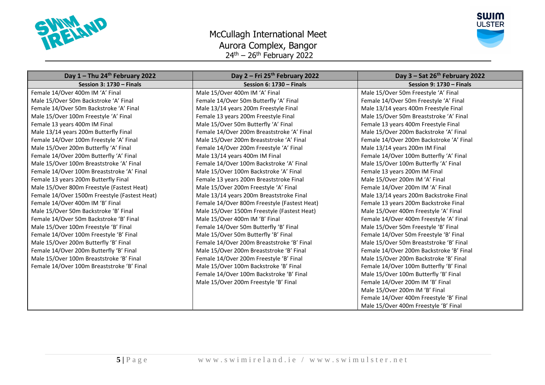

## McCullagh International Meet Aurora Complex, Bangor 24<sup>th</sup> – 26<sup>th</sup> February 2022



| Day $1 -$ Thu 24 <sup>th</sup> February 2022  | Day 2 – Fri 25th February 2022               | Day $3 - Sat$ 26 <sup>th</sup> February 2022 |
|-----------------------------------------------|----------------------------------------------|----------------------------------------------|
| Session 3: $1730 -$ Finals                    | Session 6: $1730 -$ Finals                   | Session 9: $1730 -$ Finals                   |
| Female 14/Over 400m IM 'A' Final              | Male 15/Over 400m IM 'A' Final               | Male 15/Over 50m Freestyle 'A' Final         |
| Male 15/Over 50m Backstroke 'A' Final         | Female 14/Over 50m Butterfly 'A' Final       | Female 14/Over 50m Freestyle 'A' Final       |
| Female 14/Over 50m Backstroke 'A' Final       | Male 13/14 years 200m Freestyle Final        | Male 13/14 years 400m Freestyle Final        |
| Male 15/Over 100m Freestyle 'A' Final         | Female 13 years 200m Freestyle Final         | Male 15/Over 50m Breaststroke 'A' Final      |
| Female 13 years 400m IM Final                 | Male 15/Over 50m Butterfly 'A' Final         | Female 13 years 400m Freestyle Final         |
| Male 13/14 years 200m Butterfly Final         | Female 14/Over 200m Breaststroke 'A' Final   | Male 15/Over 200m Backstroke 'A' Final       |
| Female 14/Over 100m Freestyle 'A' Final       | Male 15/Over 200m Breaststroke 'A' Final     | Female 14/Over 200m Backstroke 'A' Final     |
| Male 15/Over 200m Butterfly 'A' Final         | Female 14/Over 200m Freestyle 'A' Final      | Male 13/14 years 200m IM Final               |
| Female 14/Over 200m Butterfly 'A' Final       | Male 13/14 years 400m IM Final               | Female 14/Over 100m Butterfly 'A' Final      |
| Male 15/Over 100m Breaststroke 'A' Final      | Female 14/Over 100m Backstroke 'A' Final     | Male 15/Over 100m Butterfly 'A' Final        |
| Female 14/Over 100m Breaststroke 'A' Final    | Male 15/Over 100m Backstroke 'A' Final       | Female 13 years 200m IM Final                |
| Female 13 years 200m Butterfly Final          | Female 13 years 200m Breaststroke Final      | Male 15/Over 200m IM 'A' Final               |
| Male 15/Over 800m Freestyle (Fastest Heat)    | Male 15/Over 200m Freestyle 'A' Final        | Female 14/Over 200m IM 'A' Final             |
| Female 14/Over 1500m Freestyle (Fastest Heat) | Male 13/14 years 200m Breaststroke Final     | Male 13/14 years 200m Backstroke Final       |
| Female 14/Over 400m IM 'B' Final              | Female 14/Over 800m Freestyle (Fastest Heat) | Female 13 years 200m Backstroke Final        |
| Male 15/Over 50m Backstroke 'B' Final         | Male 15/Over 1500m Freestyle (Fastest Heat)  | Male 15/Over 400m Freestyle 'A' Final        |
| Female 14/Over 50m Backstroke 'B' Final       | Male 15/Over 400m IM 'B' Final               | Female 14/Over 400m Freestyle 'A' Final      |
| Male 15/Over 100m Freestyle 'B' Final         | Female 14/Over 50m Butterfly 'B' Final       | Male 15/Over 50m Freestyle 'B' Final         |
| Female 14/Over 100m Freestyle 'B' Final       | Male 15/Over 50m Butterfly 'B' Final         | Female 14/Over 50m Freestyle 'B' Final       |
| Male 15/Over 200m Butterfly 'B' Final         | Female 14/Over 200m Breaststroke 'B' Final   | Male 15/Over 50m Breaststroke 'B' Final      |
| Female 14/Over 200m Butterfly 'B' Final       | Male 15/Over 200m Breaststroke 'B' Final     | Female 14/Over 200m Backstroke 'B' Final     |
| Male 15/Over 100m Breaststroke 'B' Final      | Female 14/Over 200m Freestyle 'B' Final      | Male 15/Over 200m Backstroke 'B' Final       |
| Female 14/Over 100m Breaststroke 'B' Final    | Male 15/Over 100m Backstroke 'B' Final       | Female 14/Over 100m Butterfly 'B' Final      |
|                                               | Female 14/Over 100m Backstroke 'B' Final     | Male 15/Over 100m Butterfly 'B' Final        |
|                                               | Male 15/Over 200m Freestyle 'B' Final        | Female 14/Over 200m IM 'B' Final             |
|                                               |                                              | Male 15/Over 200m IM 'B' Final               |
|                                               |                                              | Female 14/Over 400m Freestyle 'B' Final      |
|                                               |                                              | Male 15/Over 400m Freestyle 'B' Final        |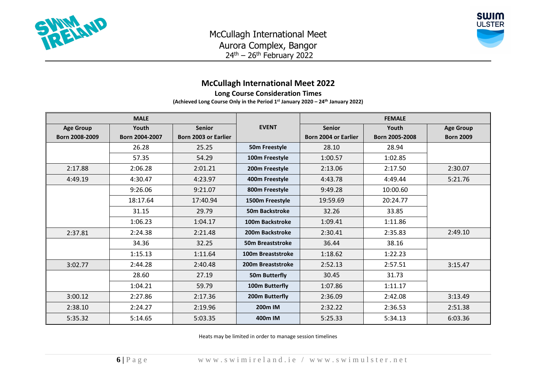



## **McCullagh International Meet 2022**

**Long Course Consideration Times**

**(Achieved Long Course Only in the Period 1st January 2020 – 24 th January 2022)**

|                  | <b>MALE</b>    |                             |                        |                             | <b>FEMALE</b>  |                  |
|------------------|----------------|-----------------------------|------------------------|-----------------------------|----------------|------------------|
| <b>Age Group</b> | Youth          | <b>Senior</b>               | <b>EVENT</b>           | <b>Senior</b>               | Youth          | <b>Age Group</b> |
| Born 2008-2009   | Born 2004-2007 | <b>Born 2003 or Earlier</b> |                        | <b>Born 2004 or Earlier</b> | Born 2005-2008 | <b>Born 2009</b> |
|                  | 26.28          | 25.25                       | 50m Freestyle          | 28.10                       | 28.94          |                  |
|                  | 57.35          | 54.29                       | 100m Freestyle         | 1:00.57                     | 1:02.85        |                  |
| 2:17.88          | 2:06.28        | 2:01.21                     | 200m Freestyle         | 2:13.06                     | 2:17.50        | 2:30.07          |
| 4:49.19          | 4:30.47        | 4:23.97                     | 400m Freestyle         | 4:43.78                     | 4:49.44        | 5:21.76          |
|                  | 9:26.06        | 9:21.07                     | 800m Freestyle         | 9:49.28                     | 10:00.60       |                  |
|                  | 18:17.64       | 17:40.94                    | 1500m Freestyle        | 19:59.69                    | 20:24.77       |                  |
|                  | 31.15          | 29.79                       | <b>50m Backstroke</b>  | 32.26                       | 33.85          |                  |
|                  | 1:06.23        | 1:04.17                     | <b>100m Backstroke</b> | 1:09.41                     | 1:11.86        |                  |
| 2:37.81          | 2:24.38        | 2:21.48                     | 200m Backstroke        | 2:30.41                     | 2:35.83        | 2:49.10          |
|                  | 34.36          | 32.25                       | 50m Breaststroke       | 36.44                       | 38.16          |                  |
|                  | 1:15.13        | 1:11.64                     | 100m Breaststroke      | 1:18.62                     | 1:22.23        |                  |
| 3:02.77          | 2:44.28        | 2:40.48                     | 200m Breaststroke      | 2:52.13                     | 2:57.51        | 3:15.47          |
|                  | 28.60          | 27.19                       | <b>50m Butterfly</b>   | 30.45                       | 31.73          |                  |
|                  | 1:04.21        | 59.79                       | 100m Butterfly         | 1:07.86                     | 1:11.17        |                  |
| 3:00.12          | 2:27.86        | 2:17.36                     | 200m Butterfly         | 2:36.09                     | 2:42.08        | 3:13.49          |
| 2:38.10          | 2:24.27        | 2:19.96                     | 200 <sub>m</sub> IM    | 2:32.22                     | 2:36.53        | 2:51.38          |
| 5:35.32          | 5:14.65        | 5:03.35                     | 400m IM                | 5:25.33                     | 5:34.13        | 6:03.36          |

Heats may be limited in order to manage session timelines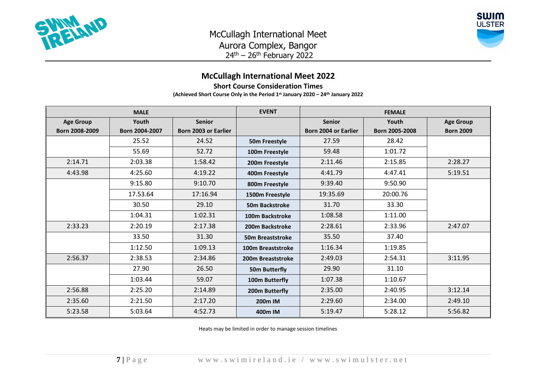



## **McCullagh International Meet 2022**

**Short Course Consideration Times**

**(Achieved Short Course Only in the Period 1 st January 2020 – 24th January 2022**

|                  | <b>MALE</b>    |                             | <b>EVENT</b>            |                             | <b>FEMALE</b>  |                  |
|------------------|----------------|-----------------------------|-------------------------|-----------------------------|----------------|------------------|
| <b>Age Group</b> | Youth          | <b>Senior</b>               |                         | <b>Senior</b>               | Youth          | <b>Age Group</b> |
| Born 2008-2009   | Born 2004-2007 | <b>Born 2003 or Earlier</b> |                         | <b>Born 2004 or Earlier</b> | Born 2005-2008 | <b>Born 2009</b> |
|                  | 25.52          | 24.52                       | 50m Freestyle           | 27.59                       | 28.42          |                  |
|                  | 55.69          | 52.72                       | 100m Freestyle          | 59.48                       | 1:01.72        |                  |
| 2:14.71          | 2:03.38        | 1:58.42                     | 200m Freestyle          | 2:11.46                     | 2:15.85        | 2:28.27          |
| 4:43.98          | 4:25.60        | 4:19.22                     | 400m Freestyle          | 4:41.79                     | 4:47.41        | 5:19.51          |
|                  | 9:15.80        | 9:10.70                     | 800m Freestyle          | 9:39.40                     | 9:50.90        |                  |
|                  | 17.53.64       | 17:16.94                    | 1500m Freestyle         | 19:35.69                    | 20:00.76       |                  |
|                  | 30.50          | 29.10                       | <b>50m Backstroke</b>   | 31.70                       | 33.30          |                  |
|                  | 1:04.31        | 1:02.31                     | 100m Backstroke         | 1:08.58                     | 1:11.00        |                  |
| 2:33.23          | 2:20.19        | 2:17.38                     | 200m Backstroke         | 2:28.61                     | 2:33.96        | 2:47.07          |
|                  | 33.50          | 31.30                       | <b>50m Breaststroke</b> | 35.50                       | 37.40          |                  |
|                  | 1:12.50        | 1:09.13                     | 100m Breaststroke       | 1:16.34                     | 1:19.85        |                  |
| 2:56.37          | 2:38.53        | 2:34.86                     | 200m Breaststroke       | 2:49.03                     | 2:54.31        | 3:11.95          |
|                  | 27.90          | 26.50                       | 50m Butterfly           | 29.90                       | 31.10          |                  |
|                  | 1:03.44        | 59.07                       | 100m Butterfly          | 1:07.38                     | 1:10.67        |                  |
| 2:56.88          | 2:25.20        | 2:14.89                     | 200m Butterfly          | 2:35.00                     | 2:40.95        | 3:12.14          |
| 2:35.60          | 2:21.50        | 2:17.20                     | 200 <sub>m</sub> IM     | 2:29.60                     | 2:34.00        | 2:49.10          |
| 5:23.58          | 5:03.64        | 4:52.73                     | 400m IM                 | 5:19.47                     | 5:28.12        | 5:56.82          |

Heats may be limited in order to manage session timelines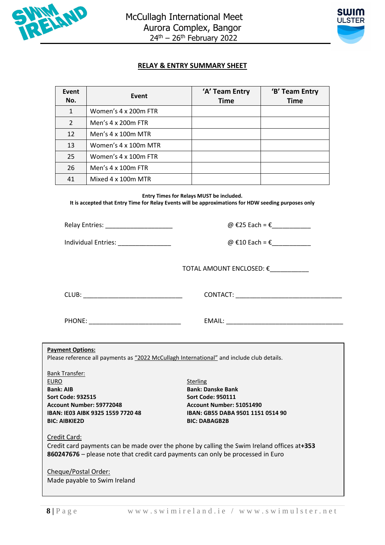



#### **RELAY & ENTRY SUMMARY SHEET**

| Event<br>No.  | Event                | 'A' Team Entry<br><b>Time</b> | 'B' Team Entry<br><b>Time</b> |
|---------------|----------------------|-------------------------------|-------------------------------|
| $\mathbf{1}$  | Women's 4 x 200m FTR |                               |                               |
| $\mathcal{P}$ | Men's 4 x 200m FTR   |                               |                               |
| 12            | Men's 4 x 100m MTR   |                               |                               |
| 13            | Women's 4 x 100m MTR |                               |                               |
| 25            | Women's 4 x 100m FTR |                               |                               |
| 26            | Men's 4 x 100m FTR   |                               |                               |
| 41            | Mixed 4 x 100m MTR   |                               |                               |
|               |                      |                               |                               |

**Entry Times for Relays MUST be included. It is accepted that Entry Time for Relay Events will be approximations for HDW seeding purposes only**

Individual Entries:  $\Box$ 

Relay Entries: \_\_\_\_\_\_\_\_\_\_\_\_\_\_\_\_\_\_\_ @ €25 Each = €\_\_\_\_\_\_\_\_\_\_\_

TOTAL AMOUNT ENCLOSED: €\_\_\_\_\_\_\_\_\_\_\_

CLUB: \_\_\_\_\_\_\_\_\_\_\_\_\_\_\_\_\_\_\_\_\_\_\_\_\_\_\_\_ CONTACT: \_\_\_\_\_\_\_\_\_\_\_\_\_\_\_\_\_\_\_\_\_\_\_\_\_\_\_\_\_\_

PHONE: \_\_\_\_\_\_\_\_\_\_\_\_\_\_\_\_\_\_\_\_\_\_\_\_\_\_ EMAIL: \_\_\_\_\_\_\_\_\_\_\_\_\_\_\_\_\_\_\_\_\_\_\_\_\_\_\_\_\_\_\_\_\_

**Payment Options:**

Please reference all payments as "2022 McCullagh International" and include club details.

Bank Transfer: EURO Sterling and the sterling sterling sterling sterling sterling **Bank: AIB Bank: Danske Bank Sort Code: 932515 Sort Code: 950111 Account Number: 59772048 Account Number: 51051490 BIC: AIBKIE2D BIC: DABAGB2B**

**IBAN: IE03 AIBK 9325 1559 7720 48 IBAN: GB55 DABA 9501 1151 0514 90**

Credit Card:

Credit card payments can be made over the phone by calling the Swim Ireland offices at**+353 860247676** – please note that credit card payments can only be processed in Euro

**Swim Ireland Safety Statement - Issues** Cheque/Postal Order: Made payable to Swim Ireland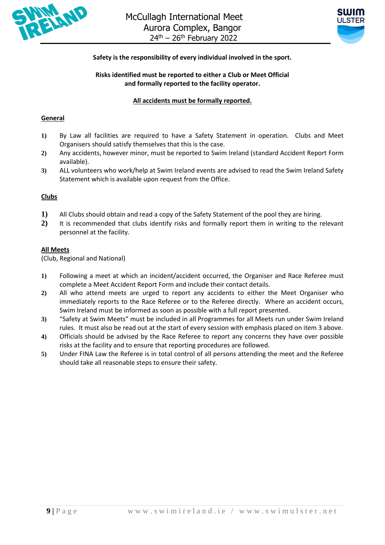



#### **Safety is the responsibility of every individual involved in the sport.**

#### **Risks identified must be reported to either a Club or Meet Official and formally reported to the facility operator.**

#### **All accidents must be formally reported.**

#### **General**

- **1)** By Law all facilities are required to have a Safety Statement in operation. Clubs and Meet Organisers should satisfy themselves that this is the case.
- **2)** Any accidents, however minor, must be reported to Swim Ireland (standard Accident Report Form available).
- **3)** ALL volunteers who work/help at Swim Ireland events are advised to read the Swim Ireland Safety Statement which is available upon request from the Office.

#### **Clubs**

- **1)** All Clubs should obtain and read a copy of the Safety Statement of the pool they are hiring.
- **2)** It is recommended that clubs identify risks and formally report them in writing to the relevant personnel at the facility.

#### **All Meets**

(Club, Regional and National)

- **1)** Following a meet at which an incident/accident occurred, the Organiser and Race Referee must complete a Meet Accident Report Form and include their contact details.
- **2)** All who attend meets are urged to report any accidents to either the Meet Organiser who immediately reports to the Race Referee or to the Referee directly. Where an accident occurs, Swim Ireland must be informed as soon as possible with a full report presented.
- **3)** "Safety at Swim Meets" must be included in all Programmes for all Meets run under Swim Ireland rules. It must also be read out at the start of every session with emphasis placed on item 3 above.
- **4)** Officials should be advised by the Race Referee to report any concerns they have over possible risks at the facility and to ensure that reporting procedures are followed.
- **5)** Under FINA Law the Referee is in total control of all persons attending the meet and the Referee should take all reasonable steps to ensure their safety.